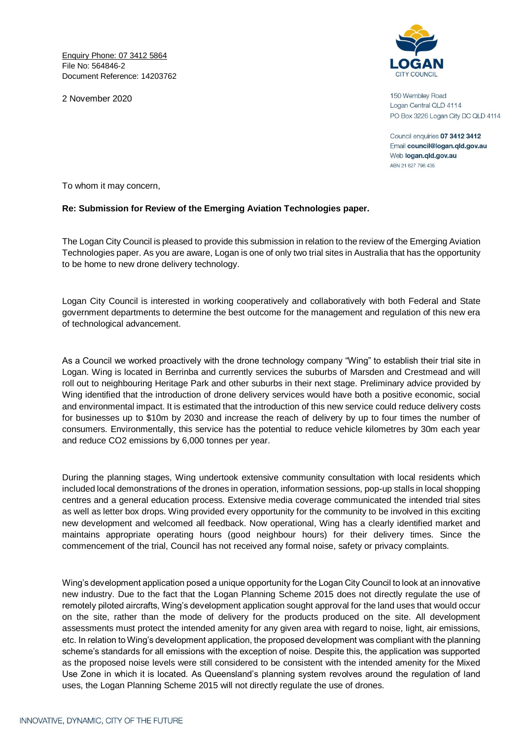Enquiry Phone: 07 3412 5864 File No: 564846-2 Document Reference: 14203762

2 November 2020



150 Wembley Road Logan Central QLD 4114 PO Box 3226 Logan City DC QLD 4114

Council enquiries 07 3412 3412 Email council@logan.qld.gov.au Web logan.gld.gov.au ABN 21 627 796 435

To whom it may concern,

## **Re: Submission for Review of the Emerging Aviation Technologies paper.**

The Logan City Council is pleased to provide this submission in relation to the review of the Emerging Aviation Technologies paper. As you are aware, Logan is one of only two trial sites in Australia that has the opportunity to be home to new drone delivery technology.

Logan City Council is interested in working cooperatively and collaboratively with both Federal and State government departments to determine the best outcome for the management and regulation of this new era of technological advancement.

As a Council we worked proactively with the drone technology company "Wing" to establish their trial site in Logan. Wing is located in Berrinba and currently services the suburbs of Marsden and Crestmead and will roll out to neighbouring Heritage Park and other suburbs in their next stage. Preliminary advice provided by Wing identified that the introduction of drone delivery services would have both a positive economic, social and environmental impact. It is estimated that the introduction of this new service could reduce delivery costs for businesses up to \$10m by 2030 and increase the reach of delivery by up to four times the number of consumers. Environmentally, this service has the potential to reduce vehicle kilometres by 30m each year and reduce CO2 emissions by 6,000 tonnes per year.

During the planning stages, Wing undertook extensive community consultation with local residents which included local demonstrations of the drones in operation, information sessions, pop-up stalls in local shopping centres and a general education process. Extensive media coverage communicated the intended trial sites as well as letter box drops. Wing provided every opportunity for the community to be involved in this exciting new development and welcomed all feedback. Now operational, Wing has a clearly identified market and maintains appropriate operating hours (good neighbour hours) for their delivery times. Since the commencement of the trial, Council has not received any formal noise, safety or privacy complaints.

Wing's development application posed a unique opportunity for the Logan City Council to look at an innovative new industry. Due to the fact that the Logan Planning Scheme 2015 does not directly regulate the use of remotely piloted aircrafts, Wing's development application sought approval for the land uses that would occur on the site, rather than the mode of delivery for the products produced on the site. All development assessments must protect the intended amenity for any given area with regard to noise, light, air emissions, etc. In relation to Wing's development application, the proposed development was compliant with the planning scheme's standards for all emissions with the exception of noise. Despite this, the application was supported as the proposed noise levels were still considered to be consistent with the intended amenity for the Mixed Use Zone in which it is located. As Queensland's planning system revolves around the regulation of land uses, the Logan Planning Scheme 2015 will not directly regulate the use of drones.